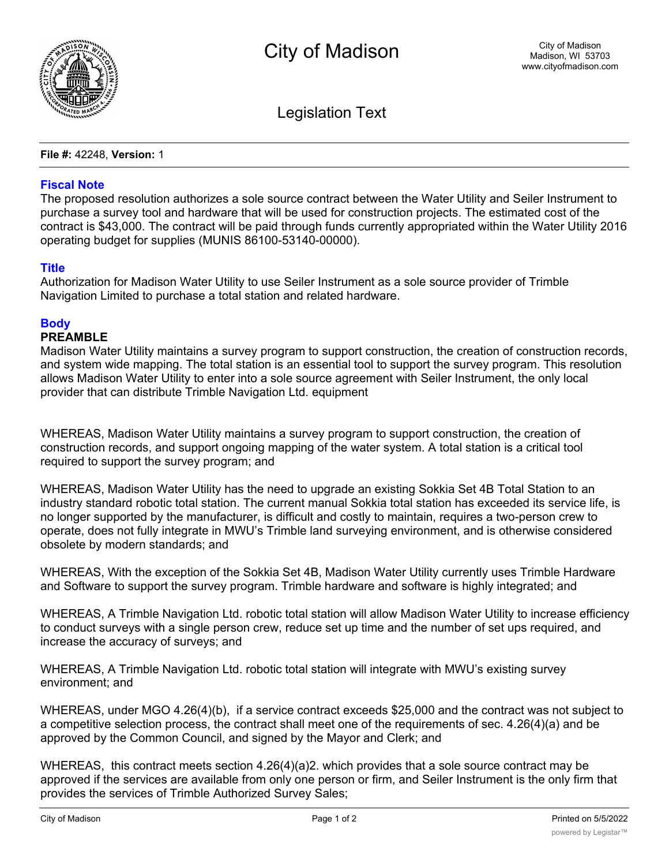

Legislation Text

**File #:** 42248, **Version:** 1

## **Fiscal Note**

The proposed resolution authorizes a sole source contract between the Water Utility and Seiler Instrument to purchase a survey tool and hardware that will be used for construction projects. The estimated cost of the contract is \$43,000. The contract will be paid through funds currently appropriated within the Water Utility 2016 operating budget for supplies (MUNIS 86100-53140-00000).

## **Title**

Authorization for Madison Water Utility to use Seiler Instrument as a sole source provider of Trimble Navigation Limited to purchase a total station and related hardware.

## **Body**

## **PREAMBLE**

Madison Water Utility maintains a survey program to support construction, the creation of construction records, and system wide mapping. The total station is an essential tool to support the survey program. This resolution allows Madison Water Utility to enter into a sole source agreement with Seiler Instrument, the only local provider that can distribute Trimble Navigation Ltd. equipment

WHEREAS, Madison Water Utility maintains a survey program to support construction, the creation of construction records, and support ongoing mapping of the water system. A total station is a critical tool required to support the survey program; and

WHEREAS, Madison Water Utility has the need to upgrade an existing Sokkia Set 4B Total Station to an industry standard robotic total station. The current manual Sokkia total station has exceeded its service life, is no longer supported by the manufacturer, is difficult and costly to maintain, requires a two-person crew to operate, does not fully integrate in MWU's Trimble land surveying environment, and is otherwise considered obsolete by modern standards; and

WHEREAS, With the exception of the Sokkia Set 4B, Madison Water Utility currently uses Trimble Hardware and Software to support the survey program. Trimble hardware and software is highly integrated; and

WHEREAS, A Trimble Navigation Ltd. robotic total station will allow Madison Water Utility to increase efficiency to conduct surveys with a single person crew, reduce set up time and the number of set ups required, and increase the accuracy of surveys; and

WHEREAS, A Trimble Navigation Ltd. robotic total station will integrate with MWU's existing survey environment; and

WHEREAS, under MGO 4.26(4)(b), if a service contract exceeds \$25,000 and the contract was not subject to a competitive selection process, the contract shall meet one of the requirements of sec. 4.26(4)(a) and be approved by the Common Council, and signed by the Mayor and Clerk; and

WHEREAS, this contract meets section 4.26(4)(a)2. which provides that a sole source contract may be approved if the services are available from only one person or firm, and Seiler Instrument is the only firm that provides the services of Trimble Authorized Survey Sales;